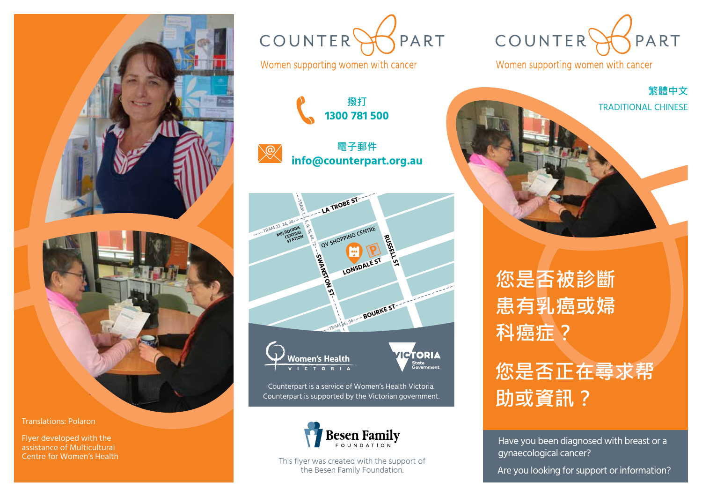



Counterpart is supported by the Victorian government.

**info@counterpart.org.au**

PART

**ICTORIA** 

-<br>State<br>Government



This flyer was created with the support of the Besen Family Foundation.

COUNTERS PART

Women supporting women with cancer



**您是否被診斷 患有乳癌或婦 科癌症?**

## **您是否正在尋求帮 助或資訊?**

Have you been diagnosed with breast or a gynaecological cancer?

Are you looking for support or information?

Translations: Polaron

Flyer developed with the assistance of Multicultural Centre for Women's Health